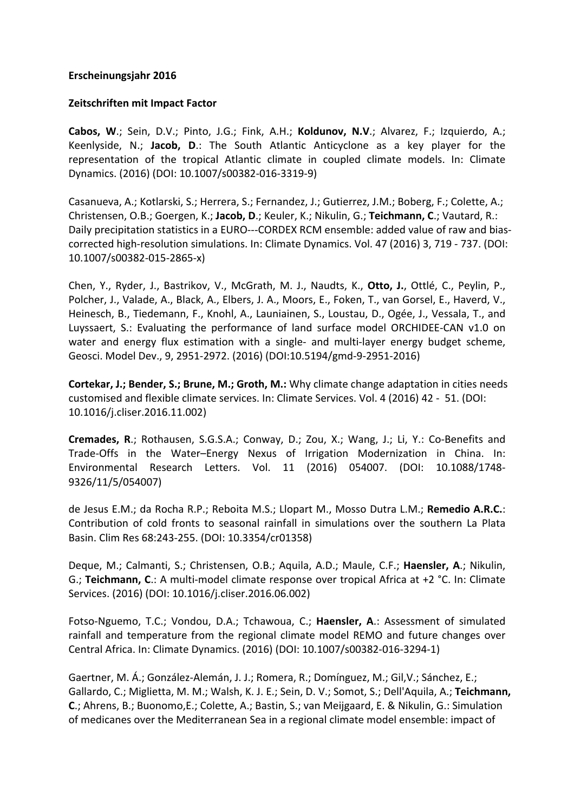## **Erscheinungsjahr 2016**

## **Zeitschriften mit Impact Factor**

**Cabos, W.**; Sein, D.V.; Pinto, J.G.; Fink, A.H.; Koldunov, N.V.; Alvarez, F.; Izquierdo, A.; Keenlyside, N.; Jacob, D.: The South Atlantic Anticyclone as a key player for the representation of the tropical Atlantic climate in coupled climate models. In: Climate Dynamics. (2016) (DOI: 10.1007/s00382-016-3319-9)

Casanueva, A.; Kotlarski, S.; Herrera, S.; Fernandez, J.; Gutierrez, J.M.; Boberg, F.; Colette, A.; Christensen, O.B.; Goergen, K.; Jacob, D.; Keuler, K.; Nikulin, G.; Teichmann, C.; Vautard, R.: Daily precipitation statistics in a EURO---CORDEX RCM ensemble: added value of raw and biascorrected high-resolution simulations. In: Climate Dynamics. Vol. 47 (2016) 3, 719 - 737. (DOI: 10.1007/s00382-015-2865-x)

Chen, Y., Ryder, J., Bastrikov, V., McGrath, M. J., Naudts, K., Otto, J., Ottlé, C., Peylin, P., Polcher, J., Valade, A., Black, A., Elbers, J. A., Moors, E., Foken, T., van Gorsel, E., Haverd, V., Heinesch, B., Tiedemann, F., Knohl, A., Launiainen, S., Loustau, D., Ogée, J., Vessala, T., and Luyssaert, S.: Evaluating the performance of land surface model ORCHIDEE-CAN v1.0 on water and energy flux estimation with a single- and multi-layer energy budget scheme, Geosci. Model Dev., 9, 2951-2972. (2016) (DOI:10.5194/gmd-9-2951-2016)

**Cortekar, J.; Bender, S.; Brune, M.; Groth, M.:** Why climate change adaptation in cities needs customised and flexible climate services. In: Climate Services. Vol. 4 (2016) 42 - 51. (DOI: 10.1016/j.cliser.2016.11.002)

**Cremades, R.**; Rothausen, S.G.S.A.; Conway, D.; Zou, X.; Wang, J.; Li, Y.: Co-Benefits and Trade-Offs in the Water–Energy Nexus of Irrigation Modernization in China. In: Environmental Research Letters. Vol. 11 (2016) 054007. (DOI: 10.1088/1748- 9326/11/5/054007)

de Jesus E.M.; da Rocha R.P.; Reboita M.S.; Llopart M., Mosso Dutra L.M.; Remedio A.R.C.: Contribution of cold fronts to seasonal rainfall in simulations over the southern La Plata Basin. Clim Res 68:243-255. (DOI: 10.3354/cr01358)

Deque, M.; Calmanti, S.; Christensen, O.B.; Aquila, A.D.; Maule, C.F.; Haensler, A.; Nikulin, G.; Teichmann, C.: A multi-model climate response over tropical Africa at +2 °C. In: Climate Services. (2016) (DOI: 10.1016/j.cliser.2016.06.002)

Fotso-Nguemo, T.C.; Vondou, D.A.; Tchawoua, C.; Haensler, A.: Assessment of simulated rainfall and temperature from the regional climate model REMO and future changes over Central Africa. In: Climate Dynamics. (2016) (DOI: 10.1007/s00382-016-3294-1)

Gaertner, M. Á.; González-Alemán, J. J.; Romera, R.; Domínguez, M.; Gil,V.; Sánchez, E.; Gallardo, C.; Miglietta, M. M.; Walsh, K. J. E.; Sein, D. V.; Somot, S.; Dell'Aquila, A.; Teichmann, **C.**; Ahrens, B.; Buonomo,E.; Colette, A.; Bastin, S.; van Meijgaard, E. & Nikulin, G.: Simulation of medicanes over the Mediterranean Sea in a regional climate model ensemble: impact of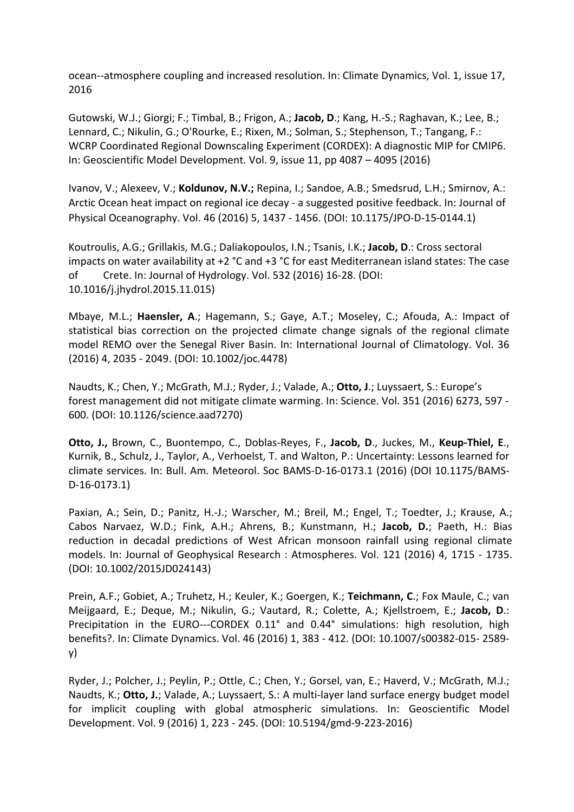ocean--atmosphere coupling and increased resolution. In: Climate Dynamics, Vol. 1, issue 17, 2016

Gutowski, W.J.; Giorgi; F.; Timbal, B.; Frigon, A.; Jacob, D.; Kang, H.-S.; Raghavan, K.; Lee, B.; Lennard, C.; Nikulin, G.; O'Rourke, E.; Rixen, M.; Solman, S.; Stephenson, T.; Tangang, F.: WCRP Coordinated Regional Downscaling Experiment (CORDEX): A diagnostic MIP for CMIP6. In: Geoscientific Model Development. Vol. 9, issue 11, pp 4087 – 4095 (2016)

Ivanov, V.; Alexeev, V.; Koldunov, N.V.; Repina, I.; Sandoe, A.B.; Smedsrud, L.H.; Smirnov, A.: Arctic Ocean heat impact on regional ice decay - a suggested positive feedback. In: Journal of Physical Oceanography. Vol. 46 (2016) 5, 1437 - 1456. (DOI: 10.1175/JPO-D-15-0144.1)

Koutroulis, A.G.; Grillakis, M.G.; Daliakopoulos, I.N.; Tsanis, I.K.; Jacob, D.: Cross sectoral impacts on water availability at  $+2$  °C and  $+3$  °C for east Mediterranean island states: The case of Crete. In: Journal of Hydrology. Vol. 532 (2016) 16-28. (DOI: 10.1016/j.jhydrol.2015.11.015)

Mbaye, M.L.; **Haensler, A.**; Hagemann, S.; Gaye, A.T.; Moseley, C.; Afouda, A.: Impact of statistical bias correction on the projected climate change signals of the regional climate model REMO over the Senegal River Basin. In: International Journal of Climatology. Vol. 36 (2016) 4, 2035 - 2049. (DOI: 10.1002/joc.4478)

Naudts, K.; Chen, Y.; McGrath, M.J.; Ryder, J.; Valade, A.; Otto, J.; Luyssaert, S.: Europe's forest management did not mitigate climate warming. In: Science. Vol. 351 (2016) 6273, 597 -600. (DOI: 10.1126/science.aad7270)

**Otto, J., Brown, C., Buontempo, C., Doblas-Reyes, F., Jacob, D., Juckes, M., Keup-Thiel, E.,** Kurnik, B., Schulz, J., Taylor, A., Verhoelst, T. and Walton, P.: Uncertainty: Lessons learned for climate services. In: Bull. Am. Meteorol. Soc BAMS-D-16-0173.1 (2016) (DOI 10.1175/BAMS-D-16-0173.1)

Paxian, A.; Sein, D.; Panitz, H.-J.; Warscher, M.; Breil, M.; Engel, T.; Toedter, J.; Krause, A.; Cabos Narvaez, W.D.; Fink, A.H.; Ahrens, B.; Kunstmann, H.; Jacob, D.; Paeth, H.: Bias reduction in decadal predictions of West African monsoon rainfall using regional climate models. In: Journal of Geophysical Research : Atmospheres. Vol. 121 (2016) 4, 1715 - 1735. (DOI: 10.1002/2015JD024143)

Prein, A.F.; Gobiet, A.; Truhetz, H.; Keuler, K.; Goergen, K.; Teichmann, C.; Fox Maule, C.; van Meijgaard, E.; Deque, M.; Nikulin, G.; Vautard, R.; Colette, A.; Kjellstroem, E.; Jacob, D.: Precipitation in the EURO---CORDEX 0.11° and 0.44° simulations: high resolution, high benefits?. In: Climate Dynamics. Vol. 46 (2016) 1, 383 - 412. (DOI: 10.1007/s00382-015- 2589y)

Ryder, J.; Polcher, J.; Peylin, P.; Ottle, C.; Chen, Y.; Gorsel, van, E.; Haverd, V.; McGrath, M.J.; Naudts, K.; **Otto, J.**; Valade, A.; Luyssaert, S.: A multi-layer land surface energy budget model for implicit coupling with global atmospheric simulations. In: Geoscientific Model Development. Vol. 9 (2016) 1, 223 - 245. (DOI: 10.5194/gmd-9-223-2016)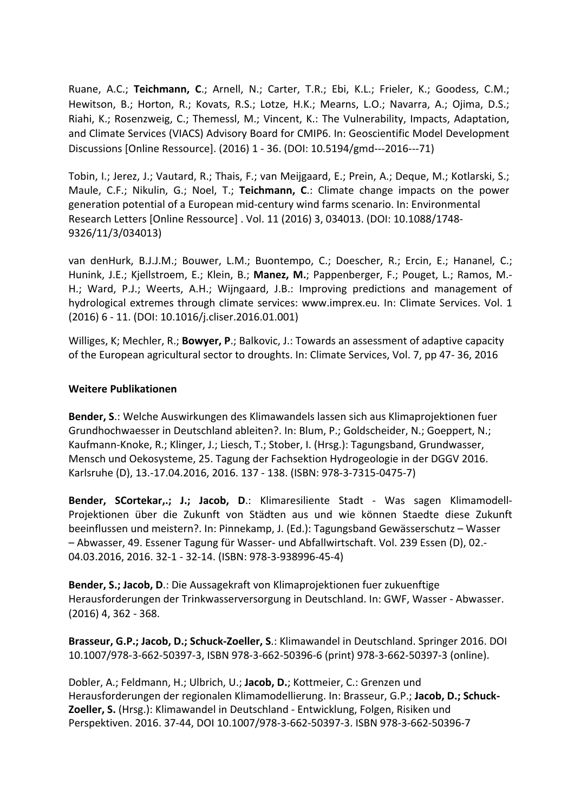Ruane, A.C.; Teichmann, C.; Arnell, N.; Carter, T.R.; Ebi, K.L.; Frieler, K.; Goodess, C.M.; Hewitson, B.; Horton, R.; Kovats, R.S.; Lotze, H.K.; Mearns, L.O.; Navarra, A.; Ojima, D.S.; Riahi, K.; Rosenzweig, C.; Themessl, M.; Vincent, K.: The Vulnerability, Impacts, Adaptation, and Climate Services (VIACS) Advisory Board for CMIP6. In: Geoscientific Model Development Discussions [Online Ressource]. (2016) 1 - 36. (DOI: 10.5194/gmd---2016---71)

Tobin, I.; Jerez, J.; Vautard, R.; Thais, F.; van Meijgaard, E.; Prein, A.; Deque, M.; Kotlarski, S.; Maule, C.F.; Nikulin, G.; Noel, T.; **Teichmann, C.**: Climate change impacts on the power generation potential of a European mid-century wind farms scenario. In: Environmental Research Letters [Online Ressource] . Vol. 11 (2016) 3, 034013. (DOI: 10.1088/1748-9326/11/3/034013)

van denHurk, B.J.J.M.; Bouwer, L.M.; Buontempo, C.; Doescher, R.; Ercin, E.; Hananel, C.; Hunink, J.E.; Kjellstroem, E.; Klein, B.; Manez, M.; Pappenberger, F.; Pouget, L.; Ramos, M.-H.; Ward, P.J.; Weerts, A.H.; Wijngaard, J.B.: Improving predictions and management of hydrological extremes through climate services: www.imprex.eu. In: Climate Services. Vol. 1 (2016) 6 - 11. (DOI: 10.1016/j.cliser.2016.01.001)

Williges, K; Mechler, R.; **Bowyer, P.**; Balkovic, J.: Towards an assessment of adaptive capacity of the European agricultural sector to droughts. In: Climate Services, Vol. 7, pp 47-36, 2016

## **Weitere Publikationen**

**Bender, S.:** Welche Auswirkungen des Klimawandels lassen sich aus Klimaprojektionen fuer Grundhochwaesser in Deutschland ableiten?. In: Blum, P.; Goldscheider, N.; Goeppert, N.; Kaufmann-Knoke, R.; Klinger, J.; Liesch, T.; Stober, I. (Hrsg.): Tagungsband, Grundwasser, Mensch und Oekosysteme, 25. Tagung der Fachsektion Hydrogeologie in der DGGV 2016. Karlsruhe (D), 13.-17.04.2016, 2016. 137 - 138. (ISBN: 978-3-7315-0475-7)

Bender, SCortekar,.; J.; Jacob, D.: Klimaresiliente Stadt - Was sagen Klimamodell-Projektionen über die Zukunft von Städten aus und wie können Staedte diese Zukunft beeinflussen und meistern?. In: Pinnekamp, J. (Ed.): Tagungsband Gewässerschutz - Wasser - Abwasser, 49. Essener Tagung für Wasser- und Abfallwirtschaft. Vol. 239 Essen (D), 02.-04.03.2016, 2016. 32-1 - 32-14. (ISBN: 978-3-938996-45-4)

**Bender, S.; Jacob, D.**: Die Aussagekraft von Klimaprojektionen fuer zukuenftige Herausforderungen der Trinkwasserversorgung in Deutschland. In: GWF, Wasser - Abwasser.  $(2016)$  4, 362 - 368.

**Brasseur, G.P.; Jacob, D.; Schuck-Zoeller, S.: Klimawandel in Deutschland. Springer 2016. DOI** 10.1007/978-3-662-50397-3, ISBN 978-3-662-50396-6 (print) 978-3-662-50397-3 (online).

Dobler, A.; Feldmann, H.; Ulbrich, U.; Jacob, D.; Kottmeier, C.: Grenzen und Herausforderungen der regionalen Klimamodellierung. In: Brasseur, G.P.; Jacob, D.; Schuck-**Zoeller, S.** (Hrsg.): Klimawandel in Deutschland - Entwicklung, Folgen, Risiken und Perspektiven. 2016. 37-44, DOI 10.1007/978-3-662-50397-3. ISBN 978-3-662-50396-7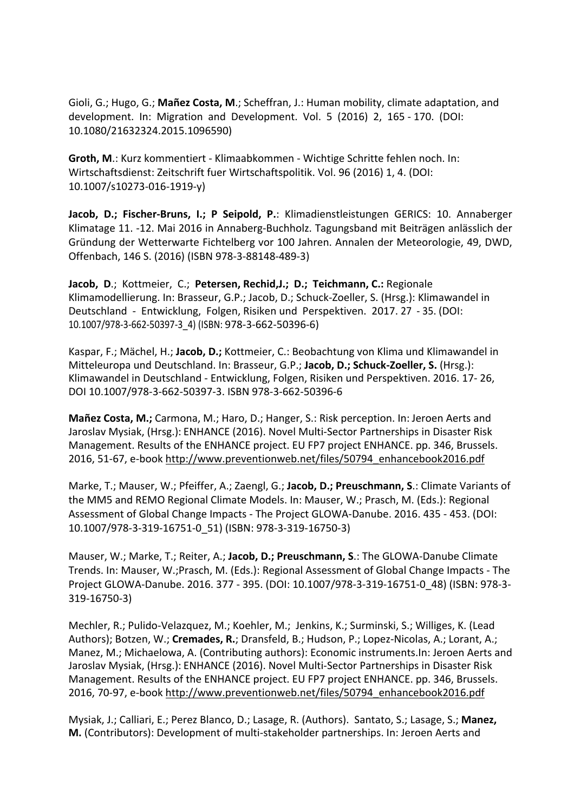Gioli, G.; Hugo, G.; Mañez Costa, M.; Scheffran, J.: Human mobility, climate adaptation, and development. In: Migration and Development. Vol. 5 (2016) 2, 165 - 170. (DOI: 10.1080/21632324.2015.1096590)

**Groth, M.:** Kurz kommentiert - Klimaabkommen - Wichtige Schritte fehlen noch. In: Wirtschaftsdienst: Zeitschrift fuer Wirtschaftspolitik. Vol. 96 (2016) 1, 4. (DOI: 10.1007/s10273-016-1919-y)

Jacob, D.; Fischer-Bruns, I.; P Seipold, P.: Klimadienstleistungen GERICS: 10. Annaberger Klimatage 11. -12. Mai 2016 in Annaberg-Buchholz. Tagungsband mit Beiträgen anlässlich der Gründung der Wetterwarte Fichtelberg vor 100 Jahren. Annalen der Meteorologie, 49, DWD, Offenbach, 146 S. (2016) (ISBN 978-3-88148-489-3)

**Jacob, D.**; Kottmeier, C.; Petersen, Rechid, J.; D.; Teichmann, C.: Regionale Klimamodellierung. In: Brasseur, G.P.; Jacob, D.; Schuck-Zoeller, S. (Hrsg.): Klimawandel in Deutschland - Entwicklung, Folgen, Risiken und Perspektiven. 2017. 27 - 35. (DOI: 10.1007/978-3-662-50397-3\_4) (ISBN: 978-3-662-50396-6)

Kaspar, F.; Mächel, H.; **Jacob, D.;** Kottmeier, C.: Beobachtung von Klima und Klimawandel in Mitteleuropa und Deutschland. In: Brasseur, G.P.; Jacob, D.; Schuck-Zoeller, S. (Hrsg.): Klimawandel in Deutschland - Entwicklung, Folgen, Risiken und Perspektiven. 2016. 17-26, DOI 10.1007/978-3-662-50397-3. ISBN 978-3-662-50396-6

**Mañez Costa, M.;** Carmona, M.; Haro, D.; Hanger, S.: Risk perception. In: Jeroen Aerts and Jaroslav Mysiak, (Hrsg.): ENHANCE (2016). Novel Multi-Sector Partnerships in Disaster Risk Management. Results of the ENHANCE project. EU FP7 project ENHANCE. pp. 346, Brussels. 2016, 51-67, e-book http://www.preventionweb.net/files/50794\_enhancebook2016.pdf

Marke, T.; Mauser, W.; Pfeiffer, A.; Zaengl, G.; Jacob, D.; Preuschmann, S.: Climate Variants of the MM5 and REMO Regional Climate Models. In: Mauser, W.; Prasch, M. (Eds.): Regional Assessment of Global Change Impacts - The Project GLOWA-Danube. 2016. 435 - 453. (DOI: 10.1007/978-3-319-16751-0\_51) (ISBN: 978-3-319-16750-3)

Mauser, W.; Marke, T.; Reiter, A.; Jacob, D.; Preuschmann, S.: The GLOWA-Danube Climate Trends. In: Mauser, W.;Prasch, M. (Eds.): Regional Assessment of Global Change Impacts - The Project GLOWA-Danube. 2016. 377 - 395. (DOI: 10.1007/978-3-319-16751-0\_48) (ISBN: 978-3-319-16750-3)

Mechler, R.; Pulido-Velazquez, M.; Koehler, M.; Jenkins, K.; Surminski, S.; Williges, K. (Lead Authors); Botzen, W.; **Cremades, R.**; Dransfeld, B.; Hudson, P.; Lopez-Nicolas, A.; Lorant, A.; Manez, M.; Michaelowa, A. (Contributing authors): Economic instruments.In: Jeroen Aerts and Jaroslav Mysiak, (Hrsg.): ENHANCE (2016). Novel Multi-Sector Partnerships in Disaster Risk Management. Results of the ENHANCE project. EU FP7 project ENHANCE. pp. 346, Brussels. 2016, 70-97, e-book http://www.preventionweb.net/files/50794\_enhancebook2016.pdf

Mysiak, J.; Calliari, E.; Perez Blanco, D.; Lasage, R. (Authors). Santato, S.; Lasage, S.; Manez, **M.** (Contributors): Development of multi-stakeholder partnerships. In: Jeroen Aerts and